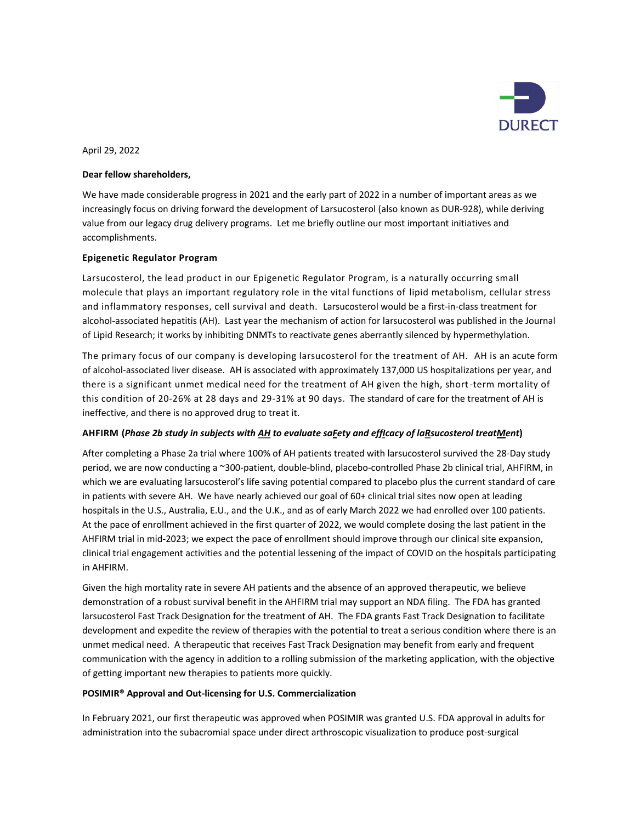

April 29, 2022

# **Dear fellow shareholders,**

We have made considerable progress in 2021 and the early part of 2022 in a number of important areas as we increasingly focus on driving forward the development of Larsucosterol (also known as DUR-928), while deriving value from our legacy drug delivery programs. Let me briefly outline our most important initiatives and accomplishments.

# **Epigenetic Regulator Program**

Larsucosterol, the lead product in our Epigenetic Regulator Program, is a naturally occurring small molecule that plays an important regulatory role in the vital functions of lipid metabolism, cellular stress and inflammatory responses, cell survival and death. Larsucosterol would be a first-in-class treatment for alcohol-associated hepatitis (AH). Last year the mechanism of action for larsucosterol was published in the Journal of Lipid Research; it works by inhibiting DNMTs to reactivate genes aberrantly silenced by hypermethylation.

The primary focus of our company is developing larsucosterol for the treatment of AH. AH is an acute form of alcohol-associated liver disease. AH is associated with approximately 137,000 US hospitalizations per year, and there is a significant unmet medical need for the treatment of AH given the high, short -term mortality of this condition of 20-26% at 28 days and 29-31% at 90 days. The standard of care for the treatment of AH is ineffective, and there is no approved drug to treat it.

# AHFIRM (Phase 2b study in subjects with AH to evaluate saFety and efficacy of laRsucosterol treatMent)

After completing a Phase 2a trial where 100% of AH patients treated with larsucosterol survived the 28-Day study period, we are now conducting a ~300-patient, double-blind, placebo-controlled Phase 2b clinical trial, AHFIRM, in which we are evaluating larsucosterol's life saving potential compared to placebo plus the current standard of care in patients with severe AH. We have nearly achieved our goal of 60+ clinical trial sites now open at leading hospitals in the U.S., Australia, E.U., and the U.K., and as of early March 2022 we had enrolled over 100 patients. At the pace of enrollment achieved in the first quarter of 2022, we would complete dosing the last patient in the AHFIRM trial in mid-2023; we expect the pace of enrollment should improve through our clinical site expansion, clinical trial engagement activities and the potential lessening of the impact of COVID on the hospitals participating in AHFIRM.

Given the high mortality rate in severe AH patients and the absence of an approved therapeutic, we believe demonstration of a robust survival benefit in the AHFIRM trial may support an NDA filing. The FDA has granted larsucosterol Fast Track Designation for the treatment of AH. The FDA grants Fast Track Designation to facilitate development and expedite the review of therapies with the potential to treat a serious condition where there is an unmet medical need. A therapeutic that receives Fast Track Designation may benefit from early and frequent communication with the agency in addition to a rolling submission of the marketing application, with the objective of getting important new therapies to patients more quickly.

# **POSIMIR® Approval and Out-licensing for U.S. Commercialization**

In February 2021, our first therapeutic was approved when POSIMIR was granted U.S. FDA approval in adults for administration into the subacromial space under direct arthroscopic visualization to produce post-surgical